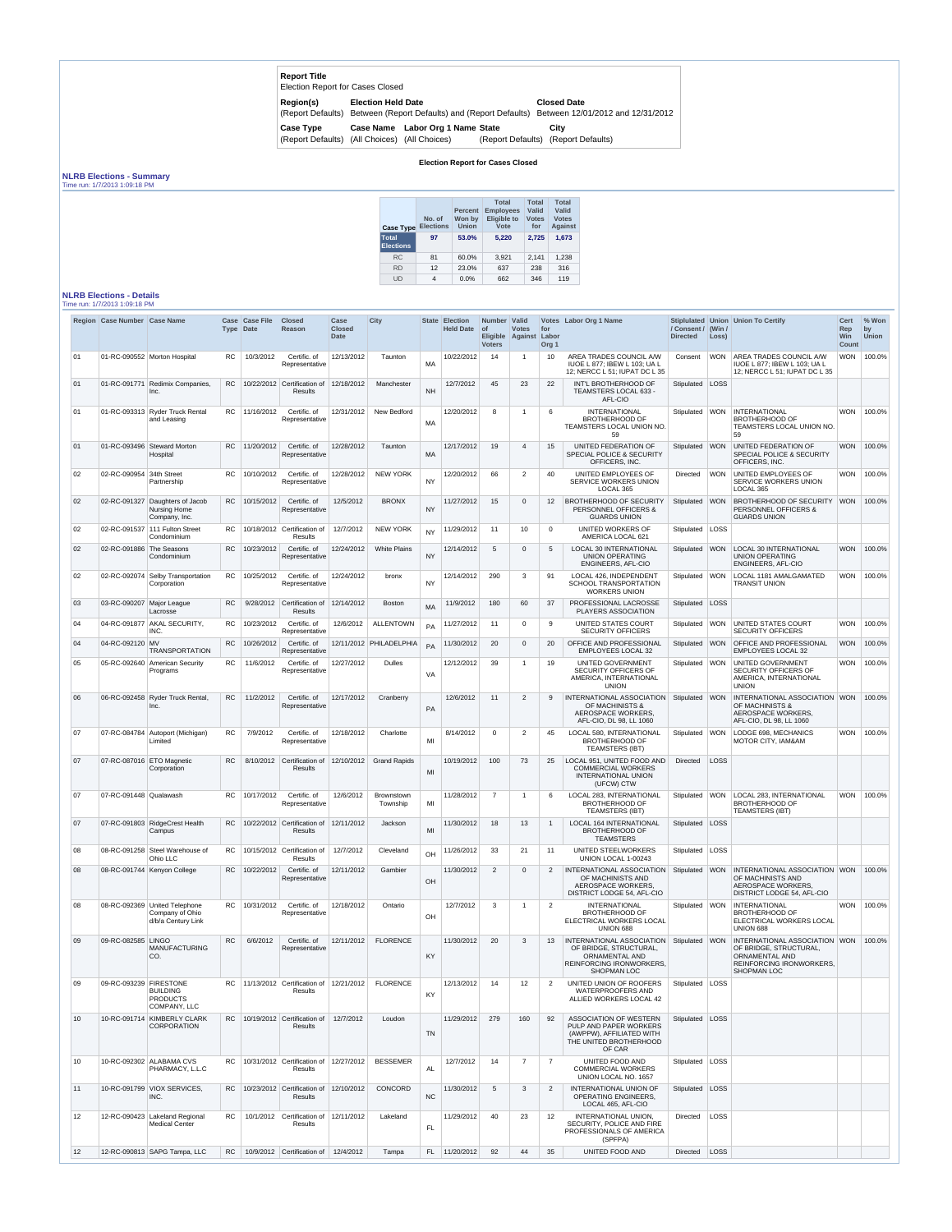| <b>Report Title</b><br>Election Report for Cases Closed           |                           |                                                 |                   |                                                         |
|-------------------------------------------------------------------|---------------------------|-------------------------------------------------|-------------------|---------------------------------------------------------|
| Region(s)<br>(Report Defaults)                                    | <b>Election Held Date</b> | Between (Report Defaults) and (Report Defaults) |                   | <b>Closed Date</b><br>Between 12/01/2012 and 12/31/2012 |
| <b>Case Type</b><br>(Report Defaults) (All Choices) (All Choices) |                           | Case Name Labor Org 1 Name State                | (Report Defaults) | City<br>(Report Defaults)                               |

## **Election Report for Cases Closed**

## **NLRB Elections - Summary**

Time run: 1/7/2013 1:09:18 PM

| <b>Case Type</b>                 | No. of<br><b>Elections</b> | <b>Percent</b><br>Won by<br><b>Union</b> | <b>Total</b><br><b>Employees</b><br><b>Eligible to</b><br>Vote | <b>Total</b><br>Valid<br><b>Votes</b><br>for | <b>Total</b><br>Valid<br><b>Votes</b><br><b>Against</b> |
|----------------------------------|----------------------------|------------------------------------------|----------------------------------------------------------------|----------------------------------------------|---------------------------------------------------------|
| <b>Total</b><br><b>Elections</b> | 97                         | 53.0%                                    | 5.220                                                          | 2.725                                        | 1,673                                                   |
| <b>RC</b>                        | 81                         | 60.0%                                    | 3,921                                                          | 2,141                                        | 1,238                                                   |
| <b>RD</b>                        | 12                         | 23.0%                                    | 637                                                            | 238                                          | 316                                                     |
| UD                               | 4                          | $0.0\%$                                  | 662                                                            | 346                                          | 119                                                     |

## **NLRB Elections - Details**

| Time run: 1/7/2013 1:09:18 PM |  |  |
|-------------------------------|--|--|
|                               |  |  |

|                 | Region Case Number Case Name |                                                                         |           | Case Case File<br>Type Date | <b>Closed</b><br><b>Reason</b>                                        | Case<br><b>Closed</b><br>Date | <b>City</b>                   |           | <b>State Election</b><br><b>Held Date</b> | Number   Valid<br>  of<br><b>Voters</b> | <b>Votes</b><br>Eligible Against | for<br>Labor<br>Org <sub>1</sub> | Votes Labor Org 1 Name                                                                                                         | / Consent / (Win /<br><b>Directed</b> | Loss)      | Stiplulated Union Union To Certify                                                                                                  | <b>Cert</b><br>Rep<br><b>Win</b><br><b>Count</b> | % Won<br>by<br><b>Union</b> |
|-----------------|------------------------------|-------------------------------------------------------------------------|-----------|-----------------------------|-----------------------------------------------------------------------|-------------------------------|-------------------------------|-----------|-------------------------------------------|-----------------------------------------|----------------------------------|----------------------------------|--------------------------------------------------------------------------------------------------------------------------------|---------------------------------------|------------|-------------------------------------------------------------------------------------------------------------------------------------|--------------------------------------------------|-----------------------------|
| 01              |                              | 01-RC-090552 Morton Hospital                                            | RC.       | 10/3/2012                   | Certific. of<br>Representative                                        | 12/13/2012                    | Taunton                       | <b>MA</b> | 10/22/2012                                | 14                                      | $\overline{\mathbf{1}}$          | 10                               | AREA TRADES COUNCIL A/W<br>IUOE L 877; IBEW L 103; UA L<br>12; NERCC L 51; IUPAT DC L 35                                       | Consent                               | <b>WON</b> | AREA TRADES COUNCIL A/W<br>IUOE L 877; IBEW L 103; UA L<br>12; NERCC L 51; IUPAT DC L 35                                            | <b>WON</b>                                       | 100.0%                      |
| 01              | 01-RC-091771                 | Redimix Companies,<br>Inc.                                              | RC        |                             | 10/22/2012 Certification of<br><b>Results</b>                         | 12/18/2012                    | Manchester                    | <b>NH</b> | 12/7/2012                                 | 45                                      | 23                               | 22                               | INT'L BROTHERHOOD OF<br>TEAMSTERS LOCAL 633 -<br>AFL-CIO                                                                       | Stipulated LOSS                       |            |                                                                                                                                     |                                                  |                             |
| 01              |                              | 01-RC-093313 Ryder Truck Rental<br>and Leasing                          |           | RC   11/16/2012             | Certific, of<br>Representative                                        | 12/31/2012                    | New Bedford                   | MA        | 12/20/2012                                | 8                                       | $\overline{\mathbf{1}}$          | 6                                | <b>INTERNATIONAL</b><br><b>BROTHERHOOD OF</b><br>TEAMSTERS LOCAL UNION NO.<br>59                                               |                                       |            | Stipulated   WON   INTERNATIONAL<br><b>BROTHERHOOD OF</b><br>TEAMSTERS LOCAL UNION NO.<br>59                                        |                                                  | WON 100.0%                  |
| 01              |                              | 01-RC-093496 Steward Morton<br>Hospital                                 | <b>RC</b> | 11/20/2012                  | Certific. of<br>Representative                                        | 12/28/2012                    | Taunton                       | <b>MA</b> | 12/17/2012                                | 19                                      | $\overline{4}$                   | 15                               | UNITED FEDERATION OF<br>SPECIAL POLICE & SECURITY<br>OFFICERS, INC.                                                            | Stipulated WON                        |            | UNITED FEDERATION OF<br>SPECIAL POLICE & SECURITY<br>OFFICERS, INC.                                                                 |                                                  | WON 100.0%                  |
| 02              | 02-RC-090954                 | 34th Street<br>Partnership                                              | RC        | 10/10/2012                  | Certific. of<br>Representative                                        | 12/28/2012                    | <b>NEW YORK</b>               | <b>NY</b> | 12/20/2012                                | 66                                      | $\overline{2}$                   | 40                               | UNITED EMPLOYEES OF<br>SERVICE WORKERS UNION<br>LOCAL 365                                                                      | Directed                              | <b>WON</b> | UNITED EMPLOYEES OF<br><b>SERVICE WORKERS UNION</b><br>LOCAL 365                                                                    | <b>WON</b>                                       | 100.0%                      |
| 02              |                              | 02-RC-091327 Daughters of Jacob<br><b>Nursing Home</b><br>Company, Inc. | RC.       | 10/15/2012                  | Certific. of<br>Representative                                        | 12/5/2012                     | <b>BRONX</b>                  | <b>NY</b> | 11/27/2012                                | 15                                      | $\Omega$                         | 12 <sup>2</sup>                  | BROTHERHOOD OF SECURITY<br>PERSONNEL OFFICERS &<br><b>GUARDS UNION</b>                                                         | Stipulated WON                        |            | <b>BROTHERHOOD OF SECURITY</b><br>PERSONNEL OFFICERS &<br><b>GUARDS UNION</b>                                                       |                                                  | WON 100.0%                  |
| 02              |                              | 02-RC-091537 111 Fulton Street<br>Condominium                           | RC        |                             | 10/18/2012 Certification of<br><b>Results</b>                         | 12/7/2012                     | <b>NEW YORK</b>               | NY.       | 11/29/2012                                | 11                                      | 10                               | $\mathbf 0$                      | UNITED WORKERS OF<br>AMERICA LOCAL 621                                                                                         | Stipulated   LOSS                     |            |                                                                                                                                     |                                                  |                             |
| 02              | 02-RC-091886 The Seasons     | Condominium                                                             | RC        | 10/23/2012                  | Certific. of<br>Representative                                        | 12/24/2012                    | <b>White Plains</b>           | <b>NY</b> | 12/14/2012                                | -5                                      | $\Omega$                         | -5                               | <b>LOCAL 30 INTERNATIONAL</b><br><b>UNION OPERATING</b><br><b>ENGINEERS, AFL-CIO</b>                                           | Stipulated WON                        |            | <b>LOCAL 30 INTERNATIONAL</b><br><b>UNION OPERATING</b><br>ENGINEERS, AFL-CIO                                                       |                                                  | WON 100.0%                  |
| 02              |                              | 02-RC-092074 Selby Transportation<br>Corporation                        | RC.       | 10/25/2012                  | Certific. of<br>Representative                                        | 12/24/2012                    | bronx                         | NY.       | 12/14/2012                                | 290                                     | 3                                | 91                               | LOCAL 426, INDEPENDENT<br>SCHOOL TRANSPORTATION<br><b>WORKERS UNION</b>                                                        | Stipulated   WON                      |            | LOCAL 1181 AMALGAMATED<br><b>TRANSIT UNION</b>                                                                                      |                                                  | WON 100.0%                  |
| 03              | 03-RC-090207                 | Major League<br>Lacrosse                                                | <b>RC</b> | 9/28/2012                   | Certification of<br>Results                                           | 12/14/2012                    | <b>Boston</b>                 | MA        | 11/9/2012                                 | 180                                     | 60                               | 37                               | PROFESSIONAL LACROSSE<br>PLAYERS ASSOCIATION                                                                                   | Stipulated LOSS                       |            |                                                                                                                                     |                                                  |                             |
| 04              | 04-RC-091877                 | AKAL SECURITY,<br>INC.                                                  | <b>RC</b> | 10/23/2012                  | Certific. of<br>Representative                                        | 12/6/2012                     | <b>ALLENTOWN</b>              | PA        | 11/27/2012                                | 11                                      | $\mathbf{0}$                     | 9                                | UNITED STATES COURT<br><b>SECURITY OFFICERS</b>                                                                                | Stipulated                            | <b>WON</b> | UNITED STATES COURT<br><b>SECURITY OFFICERS</b>                                                                                     | <b>WON</b>                                       | 100.0%                      |
| 04              | 04-RC-092120 MV              | <b>TRANSPORTATION</b>                                                   | <b>RC</b> | 10/26/2012                  | Certific. of<br>Representative                                        |                               | 12/11/2012 PHILADELPHIA       | PA        | 11/30/2012                                | 20                                      | $\mathbf{0}$                     | 20                               | OFFICE AND PROFESSIONAL<br><b>EMPLOYEES LOCAL 32</b>                                                                           | Stipulated WON                        |            | <b>OFFICE AND PROFESSIONAL</b><br>EMPLOYEES LOCAL 32                                                                                |                                                  | WON 100.0%                  |
| 05              | 05-RC-092640                 | <b>American Security</b><br>Programs                                    | RC.       | 11/6/2012                   | Certific. of<br>Representative                                        | 12/27/2012                    | <b>Dulles</b>                 | <b>VA</b> | 12/12/2012                                | 39                                      | $\overline{\mathbf{1}}$          | 19                               | UNITED GOVERNMENT<br>SECURITY OFFICERS OF<br>AMERICA, INTERNATIONAL<br><b>UNION</b>                                            |                                       |            | Stipulated   WON   UNITED GOVERNMENT<br>SECURITY OFFICERS OF<br>AMERICA, INTERNATIONAL<br><b>UNION</b>                              |                                                  | WON 100.0%                  |
| 06              |                              | 06-RC-092458 Ryder Truck Rental,<br>Inc.                                | RC        | 11/2/2012                   | Certific. of<br>Representative                                        | 12/17/2012                    | Cranberry                     | PA        | 12/6/2012                                 | 11                                      | 2                                |                                  | INTERNATIONAL ASSOCIATION<br>OF MACHINISTS &<br>AEROSPACE WORKERS.<br>AFL-CIO, DL 98, LL 1060                                  |                                       |            | Stipulated   WON   INTERNATIONAL ASSOCIATION   WON   100.0%<br>OF MACHINISTS &<br>AEROSPACE WORKERS,<br>AFL-CIO, DL 98, LL 1060     |                                                  |                             |
| 07              | 07-RC-084784                 | Autoport (Michigan)<br>Limited                                          | <b>RC</b> | 7/9/2012                    | Certific. of<br>Representative                                        | 12/18/2012                    | Charlotte                     | MI        | 8/14/2012                                 | $\Omega$                                | $\overline{2}$                   | 45                               | LOCAL 580, INTERNATIONAL<br><b>BROTHERHOOD OF</b><br><b>TEAMSTERS (IBT)</b>                                                    | Stipulated   WON                      |            | LODGE 698, MECHANICS<br>MOTOR CITY, IAM&AM                                                                                          |                                                  | WON 100.0%                  |
| 07              | 07-RC-087016 ETO Magnetic    | Corporation                                                             | RC.       |                             | 8/10/2012 Certification of<br><b>Results</b>                          | 12/10/2012                    | <b>Grand Rapids</b>           | MI        | 10/19/2012                                | 100                                     | 73                               | 25                               | LOCAL 951, UNITED FOOD AND<br><b>COMMERCIAL WORKERS</b><br><b>INTERNATIONAL UNION</b><br>(UFCW) CTW                            | <b>Directed</b>                       | LOSS       |                                                                                                                                     |                                                  |                             |
| 07              | 07-RC-091448 Qualawash       |                                                                         | RC.       | 10/17/2012                  | Certific, of<br>Representative                                        | 12/6/2012                     | <b>Brownstown</b><br>Township | MI        | 11/28/2012                                | $\overline{7}$                          | $\overline{\mathbf{1}}$          | -6                               | LOCAL 283, INTERNATIONAL<br><b>BROTHERHOOD OF</b><br><b>TEAMSTERS (IBT)</b>                                                    |                                       |            | Stipulated   WON   LOCAL 283, INTERNATIONAL<br><b>BROTHERHOOD OF</b><br><b>TEAMSTERS (IBT)</b>                                      |                                                  | WON 100.0%                  |
| 07              |                              | 07-RC-091803 RidgeCrest Health<br>Campus                                | <b>RC</b> |                             | 10/22/2012 Certification of<br><b>Results</b>                         | 12/11/2012                    | Jackson                       | MI        | 11/30/2012                                | 18                                      | 13                               |                                  | LOCAL 164 INTERNATIONAL<br><b>BROTHERHOOD OF</b><br><b>TEAMSTERS</b>                                                           | Stipulated LOSS                       |            |                                                                                                                                     |                                                  |                             |
| 08              |                              | 08-RC-091258 Steel Warehouse of<br>Ohio LLC                             | RC        |                             | 10/15/2012 Certification of<br><b>Results</b>                         | 12/7/2012                     | Cleveland                     | OH        | 11/26/2012                                | 33                                      | 21                               | 11                               | UNITED STEELWORKERS<br>UNION LOCAL 1-00243                                                                                     | Stipulated   LOSS                     |            |                                                                                                                                     |                                                  |                             |
| 08              |                              | 08-RC-091744 Kenyon College                                             | RC.       | 10/22/2012                  | Certific. of<br>Representative                                        | 12/11/2012                    | Gambier                       | OH        | 11/30/2012                                | $\overline{2}$                          | $\Omega$                         | $\overline{2}$                   | INTERNATIONAL ASSOCIATION<br>OF MACHINISTS AND<br>AEROSPACE WORKERS.<br>DISTRICT LODGE 54, AFL-CIO                             |                                       |            | Stipulated WON INTERNATIONAL ASSOCIATION WON 100.0%<br>OF MACHINISTS AND<br><b>AEROSPACE WORKERS.</b><br>DISTRICT LODGE 54, AFL-CIO |                                                  |                             |
| 08              |                              | 08-RC-092369 United Telephone<br>Company of Ohio<br>d/b/a Century Link  | RC.       | 10/31/2012                  | Certific. of<br>Representative                                        | 12/18/2012                    | Ontario                       | OH        | 12/7/2012                                 | 3                                       | $\overline{\mathbf{1}}$          | 2                                | <b>INTERNATIONAL</b><br><b>BROTHERHOOD OF</b><br>ELECTRICAL WORKERS LOCAL<br><b>UNION 688</b>                                  |                                       |            | Stipulated   WON   INTERNATIONAL<br><b>BROTHERHOOD OF</b><br>ELECTRICAL WORKERS LOCAL<br>UNION 688                                  | <b>WON</b>                                       | 100.0%                      |
| 09              | 09-RC-082585 LINGO           | <b>MANUFACTURING</b><br>CO.                                             | <b>RC</b> | 6/6/2012                    | Certific. of<br>Representative                                        | 12/11/2012                    | <b>FLORENCE</b>               | KY        | 11/30/2012                                | 20                                      | 3                                | 13                               | INTERNATIONAL ASSOCIATION<br>OF BRIDGE, STRUCTURAL,<br>ORNAMENTAL AND<br><b>REINFORCING IRONWORKERS,</b><br><b>SHOPMAN LOC</b> | Stipulated WON                        |            | INTERNATIONAL ASSOCIATION WON<br>OF BRIDGE, STRUCTURAL,<br><b>ORNAMENTAL AND</b><br><b>REINFORCING IRONWORKERS.</b><br>SHOPMAN LOC  |                                                  | 100.0%                      |
| 09              | 09-RC-093239 FIRESTONE       | <b>BUILDING</b><br><b>PRODUCTS</b><br>COMPANY, LLC                      |           |                             | RC   11/13/2012 Certification of<br><b>Results</b>                    | 12/21/2012                    | <b>FLORENCE</b>               | KY        | 12/13/2012                                | 14                                      | 12                               | $\overline{2}$                   | UNITED UNION OF ROOFERS<br><b>WATERPROOFERS AND</b><br>ALLIED WORKERS LOCAL 42                                                 | Stipulated   LOSS                     |            |                                                                                                                                     |                                                  |                             |
| 10              | 10-RC-091714                 | <b>KIMBERLY CLARK</b><br><b>CORPORATION</b>                             |           |                             | RC   10/19/2012   Certification of<br><b>Results</b>                  | 12/7/2012                     | Loudon                        | <b>TN</b> | 11/29/2012                                | 279                                     | 160                              | 92                               | <b>ASSOCIATION OF WESTERN</b><br>PULP AND PAPER WORKERS<br>(AWPPW), AFFILIATED WITH<br>THE UNITED BROTHERHOOD<br>OF CAR        | Stipulated LOSS                       |            |                                                                                                                                     |                                                  |                             |
| 10              |                              | 10-RC-092302 ALABAMA CVS<br>PHARMACY, L.L.C                             |           |                             | RC   10/31/2012   Certification of   12/27/2012   BESSEMER<br>Results |                               |                               | AL        | 12/7/2012                                 | 14                                      | $\overline{7}$                   |                                  | UNITED FOOD AND<br><b>COMMERCIAL WORKERS</b><br>UNION LOCAL NO. 1657                                                           | Stipulated LOSS                       |            |                                                                                                                                     |                                                  |                             |
| 11              |                              | 10-RC-091799 VIOX SERVICES,<br>INC.                                     |           |                             | RC   10/23/2012   Certification of   12/10/2012<br>Results            |                               | CONCORD                       | <b>NC</b> | 11/30/2012                                | 5                                       | 3                                | $\overline{2}$                   | <b>INTERNATIONAL UNION OF</b><br>OPERATING ENGINEERS.<br>LOCAL 465, AFL-CIO                                                    | Stipulated LOSS                       |            |                                                                                                                                     |                                                  |                             |
| 12 <sup>°</sup> |                              | 12-RC-090423 Lakeland Regional<br><b>Medical Center</b>                 | RC.       |                             | 10/1/2012 Certification of 12/11/2012<br>Results                      |                               | Lakeland                      | <b>FL</b> | 11/29/2012                                | 40                                      | 23                               | $12 \overline{ }$                | INTERNATIONAL UNION.<br>SECURITY, POLICE AND FIRE<br>PROFESSIONALS OF AMERICA<br>(SPFPA)                                       | Directed                              | LOSS       |                                                                                                                                     |                                                  |                             |
| 12              |                              | 12-RC-090813 SAPG Tampa, LLC                                            |           |                             | RC   10/9/2012   Certification of   12/4/2012                         |                               | Tampa                         |           | FL 11/20/2012                             | 92                                      | 44                               | 35                               | UNITED FOOD AND                                                                                                                | Directed   LOSS                       |            |                                                                                                                                     |                                                  |                             |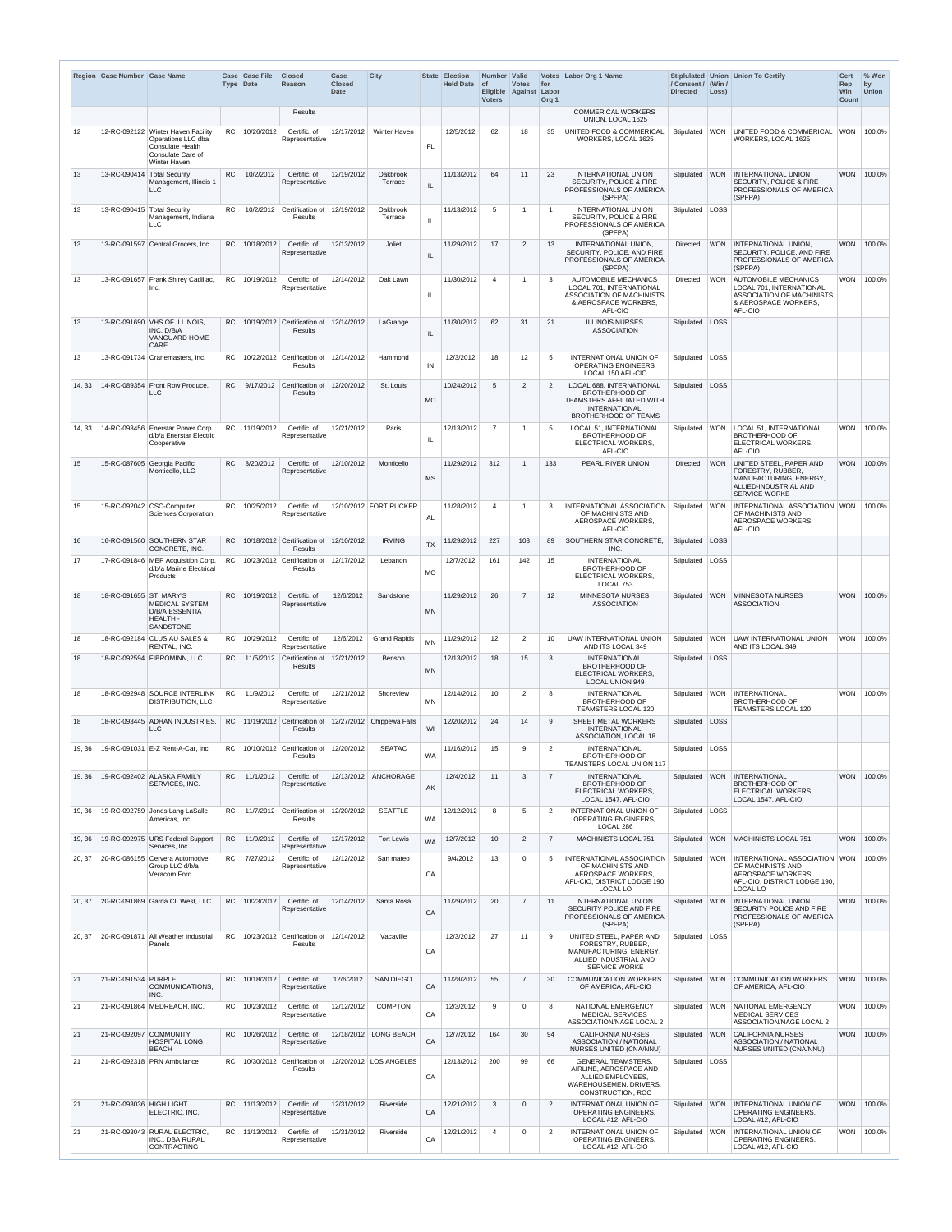|        | Region Case Number Case Name |                                                                                                                   | <b>Type Date</b> | <b>Case Case File</b> | <b>Closed</b><br>Reason                                             | Case<br><b>Closed</b><br><b>Date</b> | <b>City</b>            |           | State Election<br><b>Held Date</b> | Number Valid<br>  of<br><b>Voters</b> | <b>Votes</b><br>Eligible Against Labor | for<br>Org <sub>1</sub> | Votes Labor Org 1 Name                                                                                                                | / Consent / (Win /<br><b>Directed</b> | $\vert$ Loss) | Stiplulated   Union   Union To Certify                                                                                                            | <b>Cert</b><br>Rep<br>Win<br><b>Count</b> | % Won<br>by<br><b>Union</b> |
|--------|------------------------------|-------------------------------------------------------------------------------------------------------------------|------------------|-----------------------|---------------------------------------------------------------------|--------------------------------------|------------------------|-----------|------------------------------------|---------------------------------------|----------------------------------------|-------------------------|---------------------------------------------------------------------------------------------------------------------------------------|---------------------------------------|---------------|---------------------------------------------------------------------------------------------------------------------------------------------------|-------------------------------------------|-----------------------------|
|        |                              |                                                                                                                   |                  |                       | Results                                                             |                                      |                        |           |                                    |                                       |                                        |                         | <b>COMMERICAL WORKERS</b><br>UNION, LOCAL 1625                                                                                        |                                       |               |                                                                                                                                                   |                                           |                             |
| 12     |                              | 12-RC-092122 Winter Haven Facility<br>Operations LLC dba<br>Consulate Health<br>Consulate Care of<br>Winter Haven |                  | RC 10/26/2012         | Certific. of<br>Representative                                      | 12/17/2012                           | Winter Haven           | <b>FL</b> | 12/5/2012                          | 62                                    | 18                                     | 35                      | UNITED FOOD & COMMERICAL<br>WORKERS, LOCAL 1625                                                                                       | Stipulated                            |               | WON UNITED FOOD & COMMERICAL WON   100.0%<br>WORKERS, LOCAL 1625                                                                                  |                                           |                             |
| 13     | 13-RC-090414                 | <b>Total Security</b><br>Management, Illinois 1<br>LLC                                                            | RC.              | 10/2/2012             | Certific. of<br>Representative                                      | 12/19/2012                           | Oakbrook<br>Terrace    | IL        | 11/13/2012                         | 64                                    | 11                                     | 23                      | <b>INTERNATIONAL UNION</b><br>SECURITY, POLICE & FIRE<br>PROFESSIONALS OF AMERICA<br>(SPFPA)                                          |                                       |               | Stipulated   WON   INTERNATIONAL UNION<br><b>SECURITY, POLICE &amp; FIRE</b><br><b>PROFESSIONALS OF AMERICA</b><br>(SPFPA)                        |                                           | WON 100.0%                  |
| 13     | 13-RC-090415 Total Security  | Management, Indiana<br>LLC.                                                                                       | RC.              |                       | 10/2/2012 Certification of<br>Results                               | 12/19/2012                           | Oakbrook<br>Terrace    | IL        | 11/13/2012                         | -5                                    | -1                                     | $\overline{1}$          | <b>INTERNATIONAL UNION</b><br><b>SECURITY, POLICE &amp; FIRE</b><br>PROFESSIONALS OF AMERICA<br>(SPFPA)                               | Stipulated   LOSS                     |               |                                                                                                                                                   |                                           |                             |
| 13     |                              | 13-RC-091597 Central Grocers, Inc.                                                                                |                  | RC 10/18/2012         | Certific. of<br>Representative                                      | 12/13/2012                           | Joliet                 | IL.       | 11/29/2012                         | 17                                    | 2                                      | 13                      | INTERNATIONAL UNION,<br>SECURITY, POLICE, AND FIRE<br>PROFESSIONALS OF AMERICA<br>(SPFPA)                                             | Directed                              |               | WON INTERNATIONAL UNION.<br>SECURITY, POLICE, AND FIRE<br>PROFESSIONALS OF AMERICA<br>(SPFPA)                                                     |                                           | WON 100.0%                  |
| 13     |                              | 13-RC-091657 Frank Shirey Cadillac,<br>Inc.                                                                       |                  | RC 10/19/2012         | Certific. of<br>Representative                                      | 12/14/2012                           | Oak Lawn               | IL        | 11/30/2012                         | $\overline{4}$                        | -1                                     | 3                       | <b>AUTOMOBILE MECHANICS</b><br><b>LOCAL 701. INTERNATIONAL</b><br>ASSOCIATION OF MACHINISTS<br>& AEROSPACE WORKERS,<br>AFL-CIO        | Directed                              |               | WON AUTOMOBILE MECHANICS<br><b>LOCAL 701. INTERNATIONAL</b><br>ASSOCIATION OF MACHINISTS<br>& AEROSPACE WORKERS,<br>AFL-CIO                       |                                           | WON 100.0%                  |
| 13     |                              | 13-RC-091690 VHS OF ILLINOIS.<br>INC. D/B/A<br>VANGUARD HOME<br>CARE                                              |                  |                       | $RC$   10/19/2012 Certification of<br>Results                       | 12/14/2012                           | LaGrange               | IL        | 11/30/2012                         | 62                                    | 31                                     | 21                      | <b>ILLINOIS NURSES</b><br><b>ASSOCIATION</b>                                                                                          | Stipulated LOSS                       |               |                                                                                                                                                   |                                           |                             |
| 13     |                              | 13-RC-091734   Cranemasters, Inc.                                                                                 | RC .             |                       | 10/22/2012 Certification of<br>Results                              | 12/14/2012                           | Hammond                | IN        | 12/3/2012                          | 18                                    | 12                                     | 5                       | <b>INTERNATIONAL UNION OF</b><br><b>OPERATING ENGINEERS</b><br>LOCAL 150 AFL-CIO                                                      | Stipulated                            | LOSS          |                                                                                                                                                   |                                           |                             |
| 14, 33 | 14-RC-089354                 | Front Row Produce,<br>LLC                                                                                         | <b>RC</b>        |                       | 9/17/2012 Certification of<br>Results                               | 12/20/2012                           | St. Louis              | <b>MO</b> | 10/24/2012                         | 5                                     | $\overline{2}$                         | $\overline{2}$          | LOCAL 688, INTERNATIONAL<br><b>BROTHERHOOD OF</b><br>TEAMSTERS AFFILIATED WITH<br><b>INTERNATIONAL</b><br><b>BROTHERHOOD OF TEAMS</b> | Stipulated                            | LOSS          |                                                                                                                                                   |                                           |                             |
| 14, 33 |                              | 14-RC-093456 Enerstar Power Corp<br>d/b/a Enerstar Electric<br>Cooperative                                        |                  | RC 11/19/2012         | Certific. of<br>Representative                                      | 12/21/2012                           | Paris                  | IL        | 12/13/2012                         | $\overline{7}$                        |                                        | -5                      | LOCAL 51, INTERNATIONAL<br><b>BROTHERHOOD OF</b><br><b>ELECTRICAL WORKERS,</b><br>AFL-CIO                                             | Stipulated                            |               | WON   LOCAL 51, INTERNATIONAL<br><b>BROTHERHOOD OF</b><br>ELECTRICAL WORKERS,<br>AFL-CIO                                                          |                                           | WON 100.0%                  |
| 15     |                              | 15-RC-087605 Georgia Pacific<br>Monticello, LLC                                                                   | <b>RC</b>        | 8/20/2012             | Certific. of<br>Representative                                      | 12/10/2012                           | Monticello             | <b>MS</b> | 11/29/2012                         | 312                                   |                                        | 133                     | PEARL RIVER UNION                                                                                                                     | <b>Directed</b>                       |               | WON UNITED STEEL, PAPER AND<br>FORESTRY, RUBBER,<br>MANUFACTURING, ENERGY,<br>ALLIED-INDUSTRIAL AND<br><b>SERVICE WORKE</b>                       |                                           | WON 100.0%                  |
| 15     |                              | 15-RC-092042 CSC-Computer<br><b>Sciences Corporation</b>                                                          |                  | RC 10/25/2012         | Certific. of<br>Representative                                      |                                      | 12/10/2012 FORT RUCKER | AL        | 11/28/2012                         | $\overline{4}$                        |                                        |                         | OF MACHINISTS AND<br>AEROSPACE WORKERS,<br>AFL-CIO                                                                                    |                                       |               | INTERNATIONAL ASSOCIATION   Stipulated   WON   INTERNATIONAL ASSOCIATION   WON   100.0%<br>OF MACHINISTS AND<br>AEROSPACE WORKERS,<br>AFL-CIO     |                                           |                             |
| 16     |                              | 16-RC-091560 SOUTHERN STAR<br>CONCRETE, INC.                                                                      |                  |                       | RC 10/18/2012 Certification of<br>Results                           | 12/10/2012                           | <b>IRVING</b>          | <b>TX</b> | 11/29/2012                         | 227                                   | 103                                    | 89                      | SOUTHERN STAR CONCRETE,<br>INC.                                                                                                       | Stipulated                            | LOSS          |                                                                                                                                                   |                                           |                             |
| 17     |                              | 17-RC-091846 MEP Acquisition Corp,<br>d/b/a Marine Electrical<br>Products                                         |                  |                       | RC   $10/23/2012$ Certification of<br>Results                       | 12/17/2012                           | Lebanon                | <b>MO</b> | 12/7/2012                          | 161                                   | 142                                    | 15                      | <b>INTERNATIONAL</b><br><b>BROTHERHOOD OF</b><br>ELECTRICAL WORKERS,<br>LOCAL 753                                                     | Stipulated   LOSS                     |               |                                                                                                                                                   |                                           |                             |
| 18     | 18-RC-091655 ST. MARY'S      | <b>MEDICAL SYSTEM</b><br><b>D/B/A ESSENTIA</b><br><b>HEALTH-</b><br><b>SANDSTONE</b>                              |                  | RC 10/19/2012         | Certific. of<br>Representative                                      | 12/6/2012                            | Sandstone              | <b>MN</b> | 11/29/2012                         | 26                                    | $\overline{7}$                         | 12                      | <b>MINNESOTA NURSES</b><br><b>ASSOCIATION</b>                                                                                         | Stipulated                            |               | WON MINNESOTA NURSES<br><b>ASSOCIATION</b>                                                                                                        |                                           | WON 100.0%                  |
| 18     |                              | 18-RC-092184 CLUSIAU SALES &<br>RENTAL, INC.                                                                      |                  | RC 10/29/2012         | Certific. of<br>Representative                                      | 12/6/2012                            | <b>Grand Rapids</b>    |           | 11/29/2012                         | 12                                    | $\overline{2}$                         | 10                      | <b>UAW INTERNATIONAL UNION</b><br>AND ITS LOCAL 349                                                                                   | Stipulated                            |               | WON JUAW INTERNATIONAL UNION<br>AND ITS LOCAL 349                                                                                                 |                                           | WON 100.0%                  |
| 18     |                              | 18-RC-092594 FIBROMINN, LLC                                                                                       | RC.              |                       | 11/5/2012 Certification of<br><b>Results</b>                        | 12/21/2012                           | Benson                 | <b>MN</b> | 12/13/2012                         | 18                                    | 15                                     | 3                       | <b>INTERNATIONAL</b><br><b>BROTHERHOOD OF</b><br>ELECTRICAL WORKERS,<br><b>LOCAL UNION 949</b>                                        | Stipulated LOSS                       |               |                                                                                                                                                   |                                           |                             |
| 18     |                              | 18-RC-092948 SOURCE INTERLINK<br>DISTRIBUTION, LLC                                                                | RC.              | 11/9/2012             | Certific. of<br>Representative                                      | 12/21/2012                           | Shoreview              | MN        | 12/14/2012                         | 10                                    | $\overline{2}$                         | 8                       | <b>INTERNATIONAL</b><br><b>BROTHERHOOD OF</b><br>TEAMSTERS LOCAL 120                                                                  |                                       |               | Stipulated   WON   INTERNATIONAL<br><b>BROTHERHOOD OF</b><br>TEAMSTERS LOCAL 120                                                                  |                                           | WON 100.0%                  |
| 18     |                              | 18-RC-093445 ADHAN INDUSTRIES,<br>LLC                                                                             |                  |                       | RC 11/19/2012 Certification of 12/27/2012 Chippewa Falls<br>Results |                                      |                        | WI        | 12/20/2012                         | 24                                    | 14                                     | 9                       | SHEET METAL WORKERS<br><b>INTERNATIONAL</b><br>ASSOCIATION, LOCAL 18                                                                  | Stipulated LOSS                       |               |                                                                                                                                                   |                                           |                             |
| 19, 36 |                              | 19-RC-091031 E-Z Rent-A-Car, Inc.                                                                                 |                  |                       | RC   $10/10/2012$ Certification of<br><b>Results</b>                | 12/20/2012                           | <b>SEATAC</b>          | <b>WA</b> | 11/16/2012                         | 15                                    | 9                                      | 2                       | <b>INTERNATIONAL</b><br><b>BROTHERHOOD OF</b><br><b>TEAMSTERS LOCAL UNION 117</b>                                                     | Stipulated   LOSS                     |               |                                                                                                                                                   |                                           |                             |
| 19, 36 |                              | 19-RC-092402 ALASKA FAMILY<br>SERVICES, INC.                                                                      | RC <sub>1</sub>  | 11/1/2012             | Certific. of<br>Representative                                      |                                      | 12/13/2012 ANCHORAGE   | AK        | 12/4/2012                          | 11                                    | 3                                      | $\overline{7}$          | <b>INTERNATIONAL</b><br><b>BROTHERHOOD OF</b><br>ELECTRICAL WORKERS,<br>LOCAL 1547, AFL-CIO                                           | Stipulated                            |               | WON INTERNATIONAL<br><b>BROTHERHOOD OF</b><br>ELECTRICAL WORKERS,<br>LOCAL 1547, AFL-CIO                                                          | <b>WON</b>                                | 100.0%                      |
|        |                              | 19, 36   19-RC-092759   Jones Lang LaSalle<br>Americas, Inc.                                                      |                  |                       | RC   11/7/2012   Certification of   12/20/2012<br>Results           |                                      | <b>SEATTLE</b>         | <b>WA</b> | 12/12/2012                         | -8                                    |                                        | 2                       | INTERNATIONAL UNION OF<br><b>OPERATING ENGINEERS.</b><br>LOCAL 286                                                                    | Stipulated   LOSS                     |               |                                                                                                                                                   |                                           |                             |
| 19. 36 |                              | 19-RC-092975 URS Federal Support<br>Services, Inc.                                                                | <b>RC</b>        | 11/9/2012             | Certific. of<br>Representative                                      | 12/17/2012                           | Fort Lewis             | <b>WA</b> | 12/7/2012                          | 10                                    | $\overline{2}$                         | $\overline{7}$          | MACHINISTS LOCAL 751                                                                                                                  | Stipulated                            |               | <b>WON MACHINISTS LOCAL 751</b>                                                                                                                   |                                           | WON 100.0%                  |
| 20, 37 |                              | 20-RC-086155 Cervera Automotive<br>Group LLC d/b/a<br>Veracom Ford                                                | RC.              | 7/27/2012             | Certific. of<br>Representative                                      | 12/12/2012                           | San mateo              | CA        | 9/4/2012                           | 13                                    | $\Omega$                               | -5                      | INTERNATIONAL ASSOCIATION<br>OF MACHINISTS AND<br>AEROSPACE WORKERS.<br>AFL-CIO, DISTRICT LODGE 190,<br>LOCAL LO                      |                                       |               | Stipulated WON INTERNATIONAL ASSOCIATION WON 100.0%<br>OF MACHINISTS AND<br>AEROSPACE WORKERS,<br>AFL-CIO, DISTRICT LODGE 190,<br><b>LOCAL LO</b> |                                           |                             |
| 20, 37 |                              | 20-RC-091869 Garda CL West, LLC                                                                                   |                  | RC 10/23/2012         | Certific, of<br>Representative                                      | 12/14/2012                           | Santa Rosa             | CA        | 11/29/2012                         | 20                                    | $\overline{7}$                         | 11                      | <b>INTERNATIONAL UNION</b><br>SECURITY POLICE AND FIRE<br>PROFESSIONALS OF AMERICA<br>(SPFPA)                                         | Stipulated WON                        |               | <b>INTERNATIONAL UNION</b><br><b>SECURITY POLICE AND FIRE</b><br><b>PROFESSIONALS OF AMERICA</b><br>(SPFPA)                                       |                                           | WON 100.0%                  |
| 20, 37 | 20-RC-091871                 | All Weather Industrial<br>Panels                                                                                  |                  |                       | RC   $10/23/2012$ Certification of<br>Results                       | 12/14/2012                           | Vacaville              | CA        | 12/3/2012                          | 27                                    | 11                                     | -9                      | UNITED STEEL, PAPER AND<br>FORESTRY, RUBBER,<br>MANUFACTURING, ENERGY,<br>ALLIED INDUSTRIAL AND<br><b>SERVICE WORKE</b>               | Stipulated   LOSS                     |               |                                                                                                                                                   |                                           |                             |
| 21     | 21-RC-091534 PURPLE          | COMMUNICATIONS,<br>INC.                                                                                           |                  | RC 10/18/2012         | Certific. of<br>Representative                                      | 12/6/2012                            | <b>SAN DIEGO</b>       | CA        | 11/28/2012                         | 55                                    | $\overline{7}$                         | 30                      | <b>COMMUNICATION WORKERS</b><br>OF AMERICA, AFL-CIO                                                                                   | Stipulated                            | <b>WON</b>    | <b>COMMUNICATION WORKERS</b><br>OF AMERICA, AFL-CIO                                                                                               |                                           | WON 100.0%                  |
| 21     |                              | 21-RC-091864   MEDREACH, INC.                                                                                     |                  | RC 10/23/2012         | Certific. of<br>Representative                                      | 12/12/2012                           | <b>COMPTON</b>         | CA        | 12/3/2012                          | 9                                     | $\Omega$                               | 8                       | NATIONAL EMERGENCY<br><b>MEDICAL SERVICES</b><br>ASSOCIATION/NAGE LOCAL 2                                                             |                                       |               | Stipulated   WON   NATIONAL EMERGENCY<br><b>MEDICAL SERVICES</b><br>ASSOCIATION/NAGE LOCAL 2                                                      |                                           | WON 100.0%                  |
| 21     | 21-RC-092097 COMMUNITY       | <b>HOSPITAL LONG</b><br><b>BEACH</b>                                                                              |                  | RC 10/26/2012         | Certific. of<br>Representative                                      |                                      | 12/18/2012 LONG BEACH  | CA        | 12/7/2012                          | 164                                   | 30                                     | 94                      | <b>CALIFORNIA NURSES</b><br><b>ASSOCIATION / NATIONAL</b><br>NURSES UNITED (CNA/NNU)                                                  |                                       |               | Stipulated WON CALIFORNIA NURSES<br><b>ASSOCIATION / NATIONAL</b><br>NURSES UNITED (CNA/NNU)                                                      |                                           | WON 100.0%                  |
| 21     |                              | 21-RC-092318 PRN Ambulance                                                                                        |                  |                       | RC   $10/30/2012$ Certification of<br>Results                       |                                      | 12/20/2012 LOS ANGELES | CA        | 12/13/2012                         | 200                                   | 99                                     | 66                      | <b>GENERAL TEAMSTERS,</b><br>AIRLINE, AEROSPACE AND<br>ALLIED EMPLOYEES,<br>WAREHOUSEMEN, DRIVERS,<br>CONSTRUCTION, ROC               | Stipulated   LOSS                     |               |                                                                                                                                                   |                                           |                             |
| 21     | 21-RC-093036 HIGH LIGHT      | ELECTRIC, INC.                                                                                                    |                  | RC 11/13/2012         | Certific. of<br>Representative                                      | 12/31/2012                           | Riverside              | CA        | 12/21/2012                         | 3                                     | $\Omega$                               | $\overline{2}$          | <b>INTERNATIONAL UNION OF</b><br><b>OPERATING ENGINEERS,</b><br>LOCAL #12, AFL-CIO                                                    | Stipulated                            |               | WON INTERNATIONAL UNION OF<br><b>OPERATING ENGINEERS.</b><br>LOCAL #12, AFL-CIO                                                                   |                                           | WON 100.0%                  |
| 21     |                              | 21-RC-093043 RURAL ELECTRIC,<br>INC., DBA RURAL<br>CONTRACTING                                                    |                  | RC 11/13/2012         | Certific. of<br>Representative                                      | 12/31/2012                           | Riverside              | CA        | 12/21/2012                         | $\overline{\mathcal{A}}$              | $\Omega$                               | $\overline{2}$          | INTERNATIONAL UNION OF<br><b>OPERATING ENGINEERS,</b><br>LOCAL #12, AFL-CIO                                                           |                                       |               | Stipulated   WON   INTERNATIONAL UNION OF<br><b>OPERATING ENGINEERS,</b><br>LOCAL #12, AFL-CIO                                                    |                                           | WON 100.0%                  |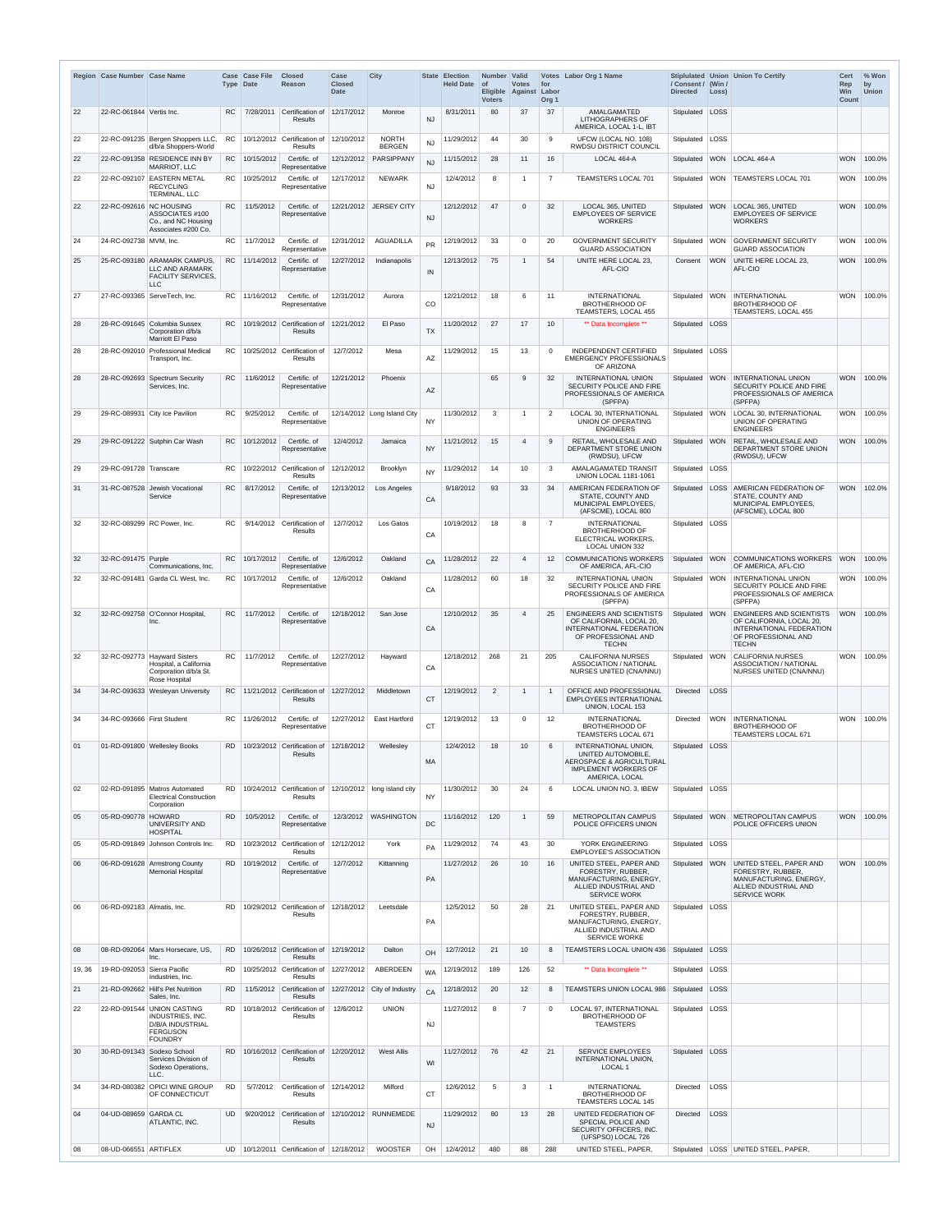|        | Region Case Number Case Name |                                                                                                                | Type Date | <b>Case Case File</b> | <b>Closed</b><br>Reason                                           | Case<br><b>Closed</b><br><b>Date</b> | <b>City</b>                                                        |           | <b>State Election</b><br><b>Held Date</b> | Number Valid<br><b>of</b><br><b>Voters</b> | <b>Votes</b><br>Eligible Against Labor | for<br>Org <sub>1</sub> | Votes Labor Org 1 Name                                                                                                                         | / Consent / (Win /<br><b>Directed</b> | Loss)       | Stiplulated Union Union To Certify                                                                                        | <b>Cert</b><br>Rep<br><b>Win</b><br>Count | $%$ Won<br>by<br><b>Union</b> |
|--------|------------------------------|----------------------------------------------------------------------------------------------------------------|-----------|-----------------------|-------------------------------------------------------------------|--------------------------------------|--------------------------------------------------------------------|-----------|-------------------------------------------|--------------------------------------------|----------------------------------------|-------------------------|------------------------------------------------------------------------------------------------------------------------------------------------|---------------------------------------|-------------|---------------------------------------------------------------------------------------------------------------------------|-------------------------------------------|-------------------------------|
| 22     | 22-RC-061844 Vertis Inc.     |                                                                                                                | RC.       | 7/28/2011             | Certification of<br><b>Results</b>                                | 12/17/2012                           | Monroe                                                             | <b>NJ</b> | 8/31/2011                                 | 80                                         | 37                                     | 37                      | <b>AMALGAMATED</b><br><b>LITHOGRAPHERS OF</b><br>AMERICA, LOCAL 1-L, IBT                                                                       | Stipulated LOSS                       |             |                                                                                                                           |                                           |                               |
| 22     |                              | 22-RC-091235 Bergen Shoppers LLC,<br>d/b/a Shoppers-World                                                      | RC.       |                       | 10/12/2012 Certification of<br><b>Results</b>                     | 12/10/2012                           | <b>NORTH</b><br><b>BERGEN</b>                                      | <b>NJ</b> | 11/29/2012                                | 44                                         | 30                                     | 9                       | UFCW (LOCAL NO. 108)<br><b>RWDSU DISTRICT COUNCIL</b>                                                                                          | Stipulated   LOSS                     |             |                                                                                                                           |                                           |                               |
| 22     |                              | 22-RC-091358 RESIDENCE INN BY<br><b>MARRIOT, LLC</b>                                                           |           | RC 10/15/2012         | Certific. of<br>Representative                                    | 12/12/2012                           | PARSIPPANY                                                         | <b>NJ</b> | 11/15/2012                                | 28                                         | 11                                     | 16                      | LOCAL 464-A                                                                                                                                    |                                       |             | Stipulated WON LOCAL 464-A                                                                                                | <b>WON</b>                                | 100.0%                        |
| 22     | 22-RC-092107                 | <b>EASTERN METAL</b><br><b>RECYCLING</b><br>TERMINAL, LLC                                                      |           | RC 10/25/2012         | Certific. of<br>Representative                                    | 12/17/2012                           | <b>NEWARK</b>                                                      | <b>NJ</b> | 12/4/2012                                 | 8                                          | -1                                     | $\overline{7}$          | TEAMSTERS LOCAL 701                                                                                                                            |                                       |             | Stipulated   WON   TEAMSTERS LOCAL 701                                                                                    | WON                                       | 100.0%                        |
| 22     | 22-RC-092616                 | <b>NC HOUSING</b><br>ASSOCIATES #100<br>Co., and NC Housing<br>Associates #200 Co.                             | RC.       | 11/5/2012             | Certific. of<br>Representative                                    | 12/21/2012                           | <b>JERSEY CITY</b>                                                 | <b>NJ</b> | 12/12/2012                                | 47                                         | $\Omega$                               | 32                      | LOCAL 365, UNITED<br><b>EMPLOYEES OF SERVICE</b><br><b>WORKERS</b>                                                                             | Stipulated WON                        |             | LOCAL 365, UNITED<br><b>EMPLOYEES OF SERVICE</b><br>WORKERS                                                               | <b>WON</b>                                | 100.0%                        |
| 24     | 24-RC-092738   MVM, Inc.     |                                                                                                                | RC        | 11/7/2012             | Certific. of<br>Representative                                    | 12/31/2012                           | <b>AGUADILLA</b>                                                   | <b>PR</b> | 12/19/2012                                | 33                                         | $\mathbf{0}$                           | 20                      | <b>GOVERNMENT SECURITY</b><br><b>GUARD ASSOCIATION</b>                                                                                         | Stipulated   WON                      |             | <b>GOVERNMENT SECURITY</b><br><b>GUARD ASSOCIATION</b>                                                                    | <b>WON</b>                                | 100.0%                        |
| 25     | 25-RC-093180                 | <b>ARAMARK CAMPUS.</b><br>LLC AND ARAMARK<br><b>FACILITY SERVICES,</b>                                         |           | RC 11/14/2012         | Certific, of<br>Representative                                    | 12/27/2012                           | Indianapolis                                                       | IN        | 12/13/2012                                | 75                                         | -1                                     | 54                      | UNITE HERE LOCAL 23.<br>AFL-CIO                                                                                                                | Consent                               | <b>WON</b>  | UNITE HERE LOCAL 23,<br>AFL-CIO                                                                                           | <b>WON</b>                                | 100.0%                        |
| 27     |                              | LLC.<br>27-RC-093365   ServeTech, Inc.                                                                         |           | RC   11/16/2012       | Certific. of<br>Representative                                    | 12/31/2012                           | Aurora                                                             | CO        | 12/21/2012                                | 18                                         | 6                                      | 11                      | <b>INTERNATIONAL</b><br><b>BROTHERHOOD OF</b>                                                                                                  | Stipulated   WON                      |             | INTERNATIONAL<br><b>BROTHERHOOD OF</b>                                                                                    | <b>WON</b>                                | 100.0%                        |
| 28     |                              | 28-RC-091645 Columbia Sussex<br>Corporation d/b/a<br>Marriott El Paso                                          | <b>RC</b> |                       | 10/19/2012 Certification of<br>Results                            | 12/21/2012                           | El Paso                                                            | <b>TX</b> | 11/20/2012                                | 27                                         | 17                                     | 10                      | <b>TEAMSTERS, LOCAL 455</b><br>** Data Incomplete **                                                                                           | Stipulated   LOSS                     |             | TEAMSTERS, LOCAL 455                                                                                                      |                                           |                               |
| 28     | 28-RC-092010                 | <b>Professional Medical</b><br>Transport, Inc.                                                                 |           |                       | $RC$   10/25/2012 Certification of<br>Results                     | 12/7/2012                            | Mesa                                                               | <b>AZ</b> | 11/29/2012                                | 15                                         | 13                                     | $\Omega$                | <b>INDEPENDENT CERTIFIED</b><br><b>EMERGENCY PROFESSIONALS</b><br>OF ARIZONA                                                                   | Stipulated   LOSS                     |             |                                                                                                                           |                                           |                               |
| 28     | 28-RC-092693                 | Spectrum Security<br>Services, Inc.                                                                            | <b>RC</b> | 11/6/2012             | Certific. of<br>Representative                                    | 12/21/2012                           | Phoenix                                                            | AZ        |                                           | 65                                         | 9                                      | 32                      | <b>INTERNATIONAL UNION</b><br>SECURITY POLICE AND FIRE<br><b>PROFESSIONALS OF AMERICA</b>                                                      |                                       |             | Stipulated   WON   INTERNATIONAL UNION<br>SECURITY POLICE AND FIRE<br>PROFESSIONALS OF AMERICA                            | <b>WON</b>                                | 100.0%                        |
| 29     |                              | 29-RC-089931 City Ice Pavilion                                                                                 | RC.       | 9/25/2012             | Certific. of<br>Representative                                    |                                      | $12/14/2012$ Long Island City                                      | <b>NY</b> | 11/30/2012                                | 3                                          | -1                                     | $\overline{2}$          | (SPFPA)<br>LOCAL 30, INTERNATIONAL<br>UNION OF OPERATING                                                                                       |                                       |             | (SPFPA)<br>Stipulated WON   LOCAL 30. INTERNATIONAL<br>UNION OF OPERATING                                                 | <b>WON</b>                                | $ 100.0\%$                    |
| 29     |                              | 29-RC-091222 Sutphin Car Wash                                                                                  |           | RC   10/12/2012       | Certific. of<br>Representative                                    | 12/4/2012                            | Jamaica                                                            | <b>NY</b> | 11/21/2012                                | 15                                         | 4                                      |                         | <b>ENGINEERS</b><br>RETAIL, WHOLESALE AND<br>DEPARTMENT STORE UNION                                                                            |                                       |             | <b>ENGINEERS</b><br>Stipulated   WON   RETAIL, WHOLESALE AND<br>DEPARTMENT STORE UNION<br>(RWDSU), UFCW                   |                                           | WON 100.0%                    |
| 29     | 29-RC-091728 Transcare       |                                                                                                                | RC.       |                       | 10/22/2012 Certification of<br>Results                            | 12/12/2012                           | <b>Brooklyn</b>                                                    | <b>NY</b> | 11/29/2012                                | 14                                         | 10                                     | 3                       | (RWDSU), UFCW<br>AMALAGAMATED TRANSIT<br><b>UNION LOCAL 1181-1061</b>                                                                          | Stipulated   LOSS                     |             |                                                                                                                           |                                           |                               |
| 31     |                              | 31-RC-087528 Jewish Vocational<br>Service                                                                      | RC        | 8/17/2012             | Certific. of<br>Representative                                    | 12/13/2012                           | Los Angeles                                                        | CA        | 9/18/2012                                 | 93                                         | 33                                     | 34                      | AMERICAN FEDERATION OF<br>STATE. COUNTY AND<br>MUNICIPAL EMPLOYEES.                                                                            |                                       |             | Stipulated   LOSS   AMERICAN FEDERATION OF<br>STATE, COUNTY AND<br>MUNICIPAL EMPLOYEES,                                   |                                           | WON 102.0%                    |
| 32     | 32-RC-089299 RC Power, Inc.  |                                                                                                                | RC.       |                       | $9/14/2012$ Certification of<br><b>Results</b>                    | 12/7/2012                            | Los Gatos                                                          | CA        | 10/19/2012                                | 18                                         | 8                                      | $\overline{7}$          | (AFSCME), LOCAL 800<br><b>INTERNATIONAL</b><br><b>BROTHERHOOD OF</b><br>ELECTRICAL WORKERS.                                                    | Stipulated   LOSS                     |             | (AFSCME), LOCAL 800                                                                                                       |                                           |                               |
| 32     | 32-RC-091475 Purple          |                                                                                                                |           | RC 10/17/2012         | Certific. of                                                      | 12/6/2012                            | Oakland                                                            | CA        | 11/28/2012                                | 22                                         | $\overline{4}$                         | 12                      | <b>LOCAL UNION 332</b><br><b>COMMUNICATIONS WORKERS</b><br>OF AMERICA, AFL-CIO                                                                 |                                       |             | Stipulated   WON   COMMUNICATIONS WORKERS<br>OF AMERICA, AFL-CIO                                                          | <b>WON</b>                                | 100.0%                        |
| 32     |                              | Communications, Inc.<br>32-RC-091481   Garda CL West, Inc.                                                     |           | RC 10/17/2012         | Representative<br>Certific. of<br>Representative                  | 12/6/2012                            | Oakland                                                            | CA        | 11/28/2012                                | 60                                         | 18                                     | 32                      | <b>INTERNATIONAL UNION</b><br>SECURITY POLICE AND FIRE<br>PROFESSIONALS OF AMERICA                                                             |                                       |             | Stipulated   WON   INTERNATIONAL UNION<br>SECURITY POLICE AND FIRE<br>PROFESSIONALS OF AMERICA                            |                                           | WON 100.0%                    |
| 32     |                              | 32-RC-092758 O'Connor Hospital,<br>Inc.                                                                        | RC        | 11/7/2012             | Certific. of<br>Representative                                    | 12/18/2012                           | San Jose                                                           | CA        | 12/10/2012                                | 35                                         | $\overline{4}$                         | 25                      | (SPFPA)<br><b>ENGINEERS AND SCIENTISTS</b><br>OF CALIFORNIA, LOCAL 20,<br>INTERNATIONAL FEDERATION<br>OF PROFESSIONAL AND                      | Stipulated WON                        |             | (SPFPA)<br><b>ENGINEERS AND SCIENTISTS</b><br>OF CALIFORNIA, LOCAL 20,<br>INTERNATIONAL FEDERATION<br>OF PROFESSIONAL AND | <b>WON</b>                                | 100.0%                        |
| 32     |                              | 32-RC-092773 Hayward Sisters<br>Hospital, a California<br>Corporation d/b/a St.                                |           | RC 11/7/2012          | Certific. of<br>Representative                                    | 12/27/2012                           | Hayward                                                            | CA        | 12/18/2012                                | 268                                        | 21                                     | 205                     | <b>TECHN</b><br><b>CALIFORNIA NURSES</b><br><b>ASSOCIATION / NATIONAL</b><br>NURSES UNITED (CNA/NNU)                                           | Stipulated   WON                      |             | <b>TECHN</b><br><b>CALIFORNIA NURSES</b><br>ASSOCIATION / NATIONAL<br>NURSES UNITED (CNA/NNU)                             |                                           | WON 100.0%                    |
| 34     |                              | Rose Hospital<br>34-RC-093633 Wesleyan University                                                              |           |                       | RC 11/21/2012 Certification of<br><b>Results</b>                  | 12/27/2012                           | Middletown                                                         | <b>CT</b> | 12/19/2012                                | 2                                          | $\overline{1}$                         | -1                      | OFFICE AND PROFESSIONAL<br>EMPLOYEES INTERNATIONAL                                                                                             | Directed                              | LOSS        |                                                                                                                           |                                           |                               |
| 34     | 34-RC-093666 First Student   |                                                                                                                |           | RC 11/26/2012         | Certific. of<br>Representative                                    | 12/27/2012                           | <b>East Hartford</b>                                               | <b>CT</b> | 12/19/2012                                | 13                                         | $\Omega$                               | 12                      | UNION, LOCAL 153<br><b>INTERNATIONAL</b><br><b>BROTHERHOOD OF</b>                                                                              | Directed                              |             | WON INTERNATIONAL<br><b>BROTHERHOOD OF</b>                                                                                | WON                                       | 100.0%                        |
| 01     |                              | 01-RD-091800 Wellesley Books                                                                                   |           |                       | RD   10/23/2012   Certification of<br><b>Results</b>              | 12/18/2012                           | Wellesley                                                          | <b>MA</b> | 12/4/2012                                 | 18                                         | 10                                     | 6                       | TEAMSTERS LOCAL 671<br>INTERNATIONAL UNION,<br>UNITED AUTOMOBILE.<br>AEROSPACE & AGRICULTURAL<br><b>IMPLEMENT WORKERS OF</b><br>AMERICA, LOCAL | Stipulated LOSS                       |             | TEAMSTERS LOCAL 671                                                                                                       |                                           |                               |
| 02     |                              | 02-RD-091895   Matros Automated<br><b>Electrical Construction</b><br>Corporation                               |           |                       | <b>Results</b>                                                    |                                      | RD   10/24/2012   Certification of $ 12/10/2012 $ long island city | NY.       | 11/30/2012                                | 30                                         | 24                                     | 6                       | LOCAL UNION NO. 3, IBEW                                                                                                                        | Stipulated   LOSS                     |             |                                                                                                                           |                                           |                               |
| 05     | 05-RD-090778 HOWARD          | UNIVERSITY AND<br><b>HOSPITAL</b>                                                                              | RD.       | 10/5/2012             | Certific. of<br>Representative                                    |                                      | 12/3/2012 WASHINGTON                                               | DC        | 11/16/2012                                | 120                                        | - 1                                    | 59                      | <b>METROPOLITAN CAMPUS</b><br>POLICE OFFICERS UNION                                                                                            |                                       |             | Stipulated   WON   METROPOLITAN CAMPUS<br>POLICE OFFICERS UNION                                                           |                                           | WON 100.0%                    |
| 05     |                              | 05-RD-091849 Johnson Controls Inc.                                                                             |           |                       | RD   10/23/2012   Certification of   12/12/2012<br><b>Results</b> |                                      | York                                                               | PA        | 11/29/2012                                | 74                                         | 43                                     | 30                      | YORK ENGINEERING<br><b>EMPLOYEE'S ASSOCIATION</b>                                                                                              | Stipulated   LOSS                     |             |                                                                                                                           |                                           |                               |
| 06     |                              | 06-RD-091628 Armstrong County<br><b>Memorial Hospital</b>                                                      |           | RD 10/19/2012         | Certific. of<br>Representative                                    | 12/7/2012                            | Kittanning                                                         | PA        | 11/27/2012                                | 26                                         | 10                                     | 16                      | UNITED STEEL, PAPER AND<br>FORESTRY, RUBBER,<br>MANUFACTURING, ENERGY,<br>ALLIED INDUSTRIAL AND<br><b>SERVICE WORK</b>                         | Stipulated WON                        |             | UNITED STEEL, PAPER AND<br>FORESTRY, RUBBER,<br>MANUFACTURING, ENERGY,<br>ALLIED INDUSTRIAL AND<br><b>SERVICE WORK</b>    | <b>WON</b>                                | 100.0%                        |
| 06     | 06-RD-092183   Almatis, Inc. |                                                                                                                |           |                       | RD   10/29/2012   Certification of   12/18/2012<br><b>Results</b> |                                      | Leetsdale                                                          | <b>PA</b> | 12/5/2012                                 | 50                                         | 28                                     | 21                      | UNITED STEEL, PAPER AND<br>FORESTRY, RUBBER,<br>MANUFACTURING, ENERGY,<br>ALLIED INDUSTRIAL AND<br><b>SERVICE WORKE</b>                        | Stipulated   LOSS                     |             |                                                                                                                           |                                           |                               |
| 08     |                              | 08-RD-092064 Mars Horsecare, US,<br>Inc.                                                                       |           |                       | RD   10/26/2012   Certification of   12/19/2012<br><b>Results</b> |                                      | Dalton                                                             | OH        | 12/7/2012                                 | 21                                         | 10                                     | 8                       | TEAMSTERS LOCAL UNION 436                                                                                                                      | Stipulated   LOSS                     |             |                                                                                                                           |                                           |                               |
| 19, 36 | 19-RD-092053 Sierra Pacific  | Industries, Inc.                                                                                               |           |                       | $RD$   10/25/2012 Certification of<br><b>Results</b>              | 12/27/2012                           | ABERDEEN                                                           | <b>WA</b> | 12/19/2012                                | 189                                        | 126                                    | 52                      | ** Data Incomplete **                                                                                                                          | Stipulated   LOSS                     |             |                                                                                                                           |                                           |                               |
| 21     |                              | 21-RD-092662 Hill's Pet Nutrition<br>Sales, Inc.                                                               | RD        |                       | <b>Results</b>                                                    |                                      | 11/5/2012 Certification of 12/27/2012 City of Industry             | CA        | 12/18/2012                                | 20                                         | $12 \overline{ }$                      | 8                       | <b>TEAMSTERS UNION LOCAL 986</b>                                                                                                               | Stipulated   LOSS                     |             |                                                                                                                           |                                           |                               |
| 22     |                              | 22-RD-091544 UNION CASTING<br>INDUSTRIES, INC.<br><b>D/B/A INDUSTRIAL</b><br><b>FERGUSON</b><br><b>FOUNDRY</b> |           |                       | $RD$   10/18/2012 Certification of<br><b>Results</b>              | 12/6/2012                            | <b>UNION</b>                                                       | <b>NJ</b> | 11/27/2012                                | 8                                          | $\overline{7}$                         | $\Omega$                | LOCAL 97, INTERNATIONAL<br><b>BROTHERHOOD OF</b><br><b>TEAMSTERS</b>                                                                           | Stipulated   LOSS                     |             |                                                                                                                           |                                           |                               |
| 30     | 30-RD-091343                 | Sodexo School<br>Services Division of<br>Sodexo Operations,<br>LLC.                                            |           |                       | RD   10/16/2012   Certification of   12/20/2012<br><b>Results</b> |                                      | <b>West Allis</b>                                                  | WI        | 11/27/2012                                | 76                                         | 42                                     | 21                      | <b>SERVICE EMPLOYEES</b><br>INTERNATIONAL UNION,<br>LOCAL 1                                                                                    | Stipulated LOSS                       |             |                                                                                                                           |                                           |                               |
| 34     |                              | 34-RD-080382 OPICI WINE GROUP<br>OF CONNECTICUT                                                                | RD.       |                       | 5/7/2012 Certification of 12/14/2012<br>Results                   |                                      | Milford                                                            | <b>CT</b> | 12/6/2012                                 | 5                                          | 3                                      | -1                      | <b>INTERNATIONAL</b><br><b>BROTHERHOOD OF</b><br><b>TEAMSTERS LOCAL 145</b>                                                                    | Directed   LOSS                       |             |                                                                                                                           |                                           |                               |
| 04     | 04-UD-089659 GARDA CL        | ATLANTIC, INC.                                                                                                 | UD.       |                       | 9/20/2012 Certification of 12/10/2012 RUNNEMEDE<br>Results        |                                      |                                                                    | <b>NJ</b> | 11/29/2012                                | 80                                         | 13                                     | 28                      | UNITED FEDERATION OF<br>SPECIAL POLICE AND<br>SECURITY OFFICERS, INC.<br>(UFSPSO) LOCAL 726                                                    | Directed                              | <b>LOSS</b> |                                                                                                                           |                                           |                               |
| 08     | 08-UD-066551 ARTIFLEX        |                                                                                                                |           |                       | UD   10/12/2011   Certification of   12/18/2012                   |                                      | <b>WOOSTER</b>                                                     | OH        | 12/4/2012                                 | 480                                        | 88                                     | 288                     | UNITED STEEL, PAPER,                                                                                                                           |                                       |             | Stipulated   LOSS   UNITED STEEL, PAPER,                                                                                  |                                           |                               |